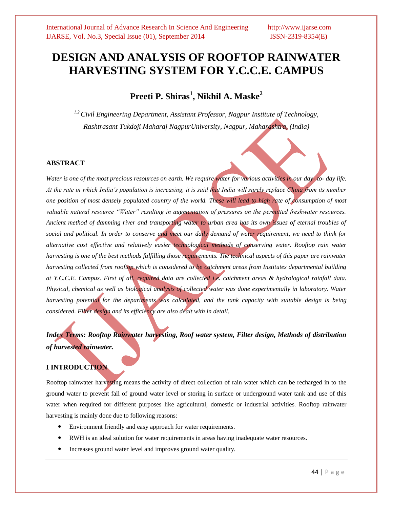# **DESIGN AND ANALYSIS OF ROOFTOP RAINWATER HARVESTING SYSTEM FOR Y.C.C.E. CAMPUS**

**Preeti P. Shiras<sup>1</sup> , Nikhil A. Maske<sup>2</sup>**

*1,2 Civil Engineering Department, Assistant Professor, Nagpur Institute of Technology, Rashtrasant Tukdoji Maharaj NagpurUniversity, Nagpur, Maharashtra, (India)*

### **ABSTRACT**

*Water is one of the most precious resources on earth. We require water for various activities in our day- to- day life. At the rate in which India's population is increasing, it is said that India will surely replace China from its number one position of most densely populated country of the world. These will lead to high rate of consumption of most valuable natural resource "Water" resulting in augmentation of pressures on the permitted freshwater resources. Ancient method of damming river and transporting water to urban area has its own issues of eternal troubles of social and political. In order to conserve and meet our daily demand of water requirement, we need to think for alternative cost effective and relatively easier technological methods of conserving water. Rooftop rain water harvesting is one of the best methods fulfilling those requirements. The technical aspects of this paper are rainwater harvesting collected from rooftop which is considered to be catchment areas from Institutes departmental building at Y.C.C.E. Campus. First of all, required data are collected i.e. catchment areas & hydrological rainfall data. Physical, chemical as well as biological analysis of collected water was done experimentally in laboratory. Water harvesting potential for the departments was calculated, and the tank capacity with suitable design is being considered. Filter design and its efficiency are also dealt with in detail.*

*Index Terms: Rooftop Rainwater harvesting, Roof water system, Filter design, Methods of distribution of harvested rainwater.* 

### **I INTRODUCTION**

Rooftop rainwater harvesting means the activity of direct collection of rain water which can be recharged in to the ground water to prevent fall of ground water level or storing in surface or underground water tank and use of this water when required for different purposes like agricultural, domestic or industrial activities. Rooftop rainwater harvesting is mainly done due to following reasons:

- Environment friendly and easy approach for water requirements.
- RWH is an ideal solution for water requirements in areas having inadequate water resources.
- Increases ground water level and improves ground water quality.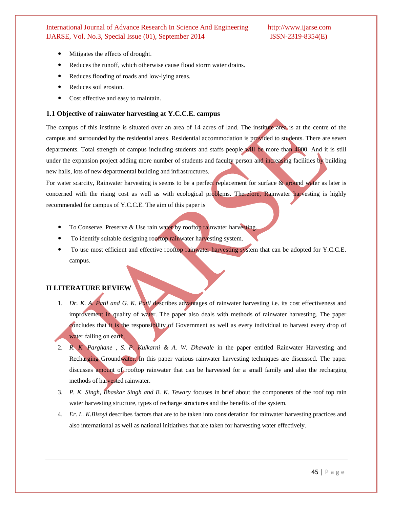- Mitigates the effects of drought.
- Reduces the runoff, which otherwise cause flood storm water drains.
- Reduces flooding of roads and low-lying areas.
- Reduces soil erosion.
- Cost effective and easy to maintain.

#### **1.1 Objective of rainwater harvesting at Y.C.C.E. campus**

The campus of this institute is situated over an area of 14 acres of land. The institute area is at the centre of the campus and surrounded by the residential areas. Residential accommodation is provided to students. There are seven departments. Total strength of campus including students and staffs people will be more than 4000. And it is still under the expansion project adding more number of students and faculty person and increasing facilities by building new halls, lots of new departmental building and infrastructures.

For water scarcity, Rainwater harvesting is seems to be a perfect replacement for surface & ground water as later is concerned with the rising cost as well as with ecological problems. Therefore, Rainwater harvesting is highly recommended for campus of Y.C.C.E. The aim of this paper is

- To Conserve, Preserve & Use rain water by rooftop rainwater harvesting.
- To identify suitable designing rooftop rainwater harvesting system.
- To use most efficient and effective rooftop rainwater harvesting system that can be adopted for Y.C.C.E. campus.

### **II LITERATURE REVIEW**

- 1. *Dr. K. A. Patil and G. K. Patil* describes advantages of rainwater harvesting i.e. its cost effectiveness and improvement in quality of water. The paper also deals with methods of rainwater harvesting. The paper concludes that it is the responsibility of Government as well as every individual to harvest every drop of water falling on earth.
- 2. *R. K. Parghane , S. P. Kulkarni & A. W. Dhawale* in the paper entitled Rainwater Harvesting and Recharging Groundwater. In this paper various rainwater harvesting techniques are discussed. The paper discusses amount of rooftop rainwater that can be harvested for a small family and also the recharging methods of harvested rainwater.
- 3. *P. K. Singh, Bhaskar Singh and B. K. Tewary* focuses in brief about the components of the roof top rain water harvesting structure, types of recharge structures and the benefits of the system.
- 4. *Er. L. K.Bisoyi* describes factors that are to be taken into consideration for rainwater harvesting practices and also international as well as national initiatives that are taken for harvesting water effectively.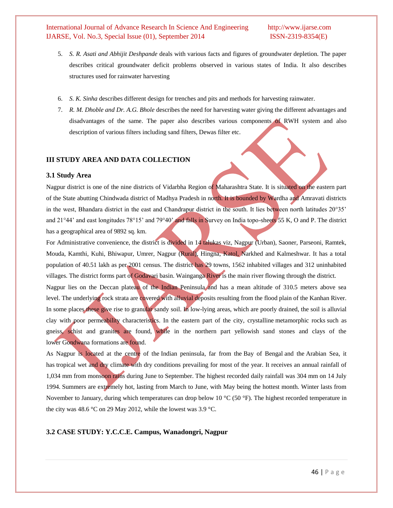- 5. *S. R. Asati and Abhijit Deshpande* deals with various facts and figures of groundwater depletion. The paper describes critical groundwater deficit problems observed in various states of India. It also describes structures used for rainwater harvesting
- 6. *S. K. Sinha* describes different design for trenches and pits and methods for harvesting rainwater.
- 7. *R. M. Dhoble and Dr. A.G. Bhole* describes the need for harvesting water giving the different advantages and disadvantages of the same. The paper also describes various components of RWH system and also description of various filters including sand filters, Dewas filter etc.

#### **III STUDY AREA AND DATA COLLECTION**

#### **3.1 Study Area**

Nagpur district is one of the nine districts of Vidarbha Region of Maharashtra State. It is situated on the eastern part of the State abutting Chindwada district of Madhya Pradesh in north. It is bounded by Wardha and Amravati districts in the west, Bhandara district in the east and Chandrapur district in the south. It lies between north latitudes 20°35' and 21°44' and east longitudes 78°15' and 79°40' and falls in Survey on India topo-sheets 55 K, O and P. The district has a geographical area of 9892 sq. km.

For Administrative convenience, the district is divided in 14 talukas viz, Nagpur (Urban), Saoner, Parseoni, Ramtek, Mouda, Kamthi, Kuhi, Bhiwapur, Umrer, Nagpur (Rural), Hingna, Katol, Narkhed and Kalmeshwar. It has a total population of 40.51 lakh as per 2001 census. The district has 29 towns, 1562 inhabited villages and 312 uninhabited villages. The district forms part of Godavari basin. Wainganga River is the main river flowing through the district. Nagpur lies on the Deccan plateau of the Indian Peninsula and has a mean altitude of 310.5 meters above sea level. The underlying rock strata are covered with alluvial deposits resulting from the flood plain of the Kanhan River. In some places these give rise to granular sandy soil. In low-lying areas, which are poorly drained, the soil is alluvial clay with poor permeability characteristics. In the eastern part of the city, crystalline [metamorphic rocks](http://en.wikipedia.org/wiki/Metamorphic_rocks) such as gneiss, schist and granites are found, while in the northern part yellowish sand stones and clays of the lower [Gondwana](http://en.wikipedia.org/wiki/Gondwana) formations are found.

As Nagpur is located at the centre of the [Indian peninsula,](http://en.wikipedia.org/wiki/Indian_peninsula) far from the [Bay of Bengal](http://en.wikipedia.org/wiki/Bay_of_Bengal) and the [Arabian Sea,](http://en.wikipedia.org/wiki/Arabian_Sea) it has [tropical wet and dry climate](http://en.wikipedia.org/wiki/Tropical_savanna_climate) with dry conditions prevailing for most of the year. It receives an annual rainfall of 1,034 mm from [monsoon](http://en.wikipedia.org/wiki/Monsoon) rains during June to September. The highest recorded daily rainfall was 304 mm on 14 July 1994. Summers are extremely hot, lasting from March to June, with May being the hottest month. Winter lasts from November to January, during which temperatures can drop below 10 °C (50 °F). The highest recorded temperature in the city was 48.6 °C on 29 May 2012, while the lowest was 3.9 °C.

#### **3.2 CASE STUDY: Y.C.C.E. Campus, Wanadongri, Nagpur**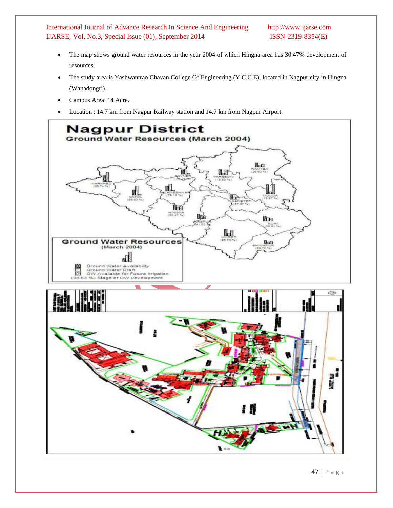- The map shows ground water resources in the year 2004 of which Hingna area has 30.47% development of resources.
- The study area is Yashwantrao Chavan College Of Engineering (Y.C.C.E), located in Nagpur city in Hingna (Wanadongri).
- Campus Area: 14 Acre.
- Location : 14.7 km from Nagpur Railway station and 14.7 km from Nagpur Airport.

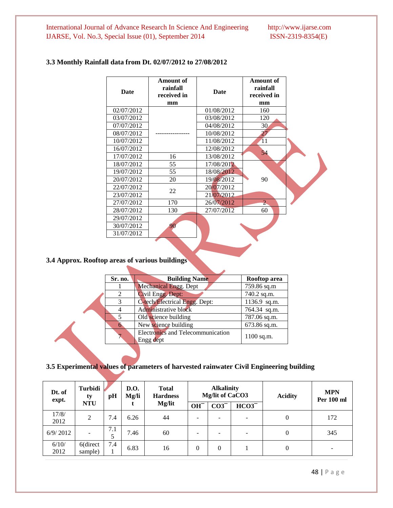# **3.3 Monthly Rainfall data from Dt. 02/07/2012 to 27/08/2012**

| <b>Date</b> | Amount of<br>rainfall<br>received in<br>mm | <b>Date</b> | <b>Amount of</b><br>rainfall<br>received in<br>mm |  |
|-------------|--------------------------------------------|-------------|---------------------------------------------------|--|
| 02/07/2012  |                                            | 01/08/2012  | 160                                               |  |
| 03/07/2012  |                                            | 03/08/2012  | 120                                               |  |
| 07/07/2012  |                                            | 04/08/2012  | 30 <sub>1</sub>                                   |  |
| 08/07/2012  |                                            | 10/08/2012  | 27                                                |  |
| 10/07/2012  |                                            | 11/08/2012  | 11                                                |  |
| 16/07/2012  |                                            | 12/08/2012  | 54                                                |  |
| 17/07/2012  | 16                                         | 13/08/2012  |                                                   |  |
| 18/07/2012  | 55                                         | 17/08/2012  |                                                   |  |
| 19/07/2012  | 55                                         | 18/08/2012  |                                                   |  |
| 20/07/2012  | 20                                         | 19/08/2012  | 90                                                |  |
| 22/07/2012  | 22                                         | 20/07/2012  |                                                   |  |
| 23/07/2012  |                                            | 21/07/2012  |                                                   |  |
| 27/07/2012  | 170                                        | 26/07/2012  | $2 -$                                             |  |
| 28/07/2012  | 130                                        | 27/07/2012  | 60                                                |  |
| 29/07/2012  |                                            |             |                                                   |  |
| 30/07/2012  | 90                                         |             |                                                   |  |
| 31/07/2012  |                                            |             |                                                   |  |

# **3.4 Approx. Rooftop areas of various buildings**

| Sr. no.        | <b>Building Name</b>                           | Rooftop area |
|----------------|------------------------------------------------|--------------|
|                | <b>Mechanical Engg. Dept</b>                   | 759.86 sq.m  |
| $\mathfrak{D}$ | 740.2 sq.m.                                    |              |
| 3              | C-tech/Electrical Engg. Dept:                  | 1136.9 sq.m. |
|                | Administrative block                           | 764.34 sq.m. |
| 5              | Old science building                           | 787.06 sq.m. |
|                | New science building                           | 673.86 sq.m. |
|                | Electronics and Telecommunication<br>Engg dept | $1100$ sq.m. |
|                |                                                |              |

# **3.5 Experimental values of parameters of harvested rainwater Civil Engineering building**

| Dt. of<br>expt. | <b>Turbidi</b><br>ty     | pH  | <b>D.O.</b><br>Mg/li | <b>Total</b><br><b>Hardness</b> |                          | <b>Alkalinity</b><br>Mg/lit of CaCO3<br><b>Acidity</b> |          |          | <b>MPN</b><br>Per 100 ml |
|-----------------|--------------------------|-----|----------------------|---------------------------------|--------------------------|--------------------------------------------------------|----------|----------|--------------------------|
|                 | <b>NTU</b>               |     |                      | Mg/lit                          | $OH^-$                   | $CO3$ <sup>-</sup>                                     | $HCO3^-$ |          |                          |
| 17/8/<br>2012   | $\overline{2}$           | 7.4 | 6.26                 | 44                              | $\overline{\phantom{a}}$ | $\overline{\phantom{a}}$                               | ۰        | $\theta$ | 172                      |
| 6/9/2012        | $\overline{\phantom{0}}$ | 7.1 | 7.46                 | 60                              | $\overline{\phantom{0}}$ |                                                        | -        | 0        | 345                      |
| 6/10/<br>2012   | 6(direct<br>sample)      | 7.4 | 6.83                 | 16                              | 0                        | 0                                                      |          | $\theta$ |                          |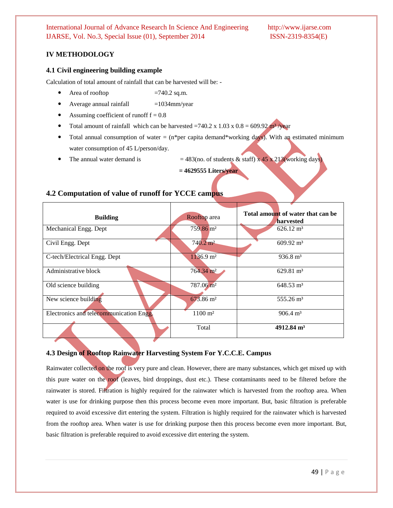# **IV METHODOLOGY**

#### **4.1 Civil engineering building example**

Calculation of total amount of rainfall that can be harvested will be: -

- Area of rooftop  $=740.2$  sq.m.
- Average annual rainfall  $=1034$ mm/year
- Assuming coefficient of runoff  $f = 0.8$
- Total amount of rainfall which can be harvested =740.2 x 1.03 x  $0.8 = 609.92 \text{ m}^3/\text{year}$
- Total annual consumption of water =  $(n<sup>*</sup>per capita demand<sup>*</sup>working days)$ . With an estimated minimum water consumption of 45 L/person/day.
- The annual water demand is  $= 483$ (no. of students & staff) x 45 x 213(working days)

**= 4629555 Liters/year**

# **4.2 Computation of value of runoff for YCCE campus**

| <b>Building</b>                         | Rooftop area           | Total amount of water that can be<br>harvested |
|-----------------------------------------|------------------------|------------------------------------------------|
| Mechanical Engg. Dept                   | 759.86 m <sup>2</sup>  | $626.12 \text{ m}^3$                           |
| Civil Engg. Dept                        | $740.2 \text{ m}^2$    | $609.92 \text{ m}^3$                           |
| C-tech/Electrical Engg. Dept            | $1136.9 \text{ m}^2$   | $936.8 \text{ m}^3$                            |
| Administrative block                    | $764.34 \text{ m}^2$   | $629.81 \text{ m}^3$                           |
| Old science building                    | 787.06 m <sup>2</sup>  | $648.53 \text{ m}^3$                           |
| New science building                    | 673.86 m <sup>2</sup>  | $555.26 \text{ m}^3$                           |
| Electronics and telecommunication Engg. | $1100 \; \mathrm{m}^2$ | $906.4 \text{ m}^3$                            |
|                                         | Total                  | 4912.84 $m3$                                   |

#### **4.3 Design of Rooftop Rainwater Harvesting System For Y.C.C.E. Campus**

Rainwater collected on the roof is very pure and clean. However, there are many substances, which get mixed up with this pure water on the roof (leaves, bird droppings, dust etc.). These contaminants need to be filtered before the rainwater is stored. Filtration is highly required for the rainwater which is harvested from the rooftop area. When water is use for drinking purpose then this process become even more important. But, basic filtration is preferable required to avoid excessive dirt entering the system. Filtration is highly required for the rainwater which is harvested from the rooftop area. When water is use for drinking purpose then this process become even more important. But, basic filtration is preferable required to avoid excessive dirt entering the system.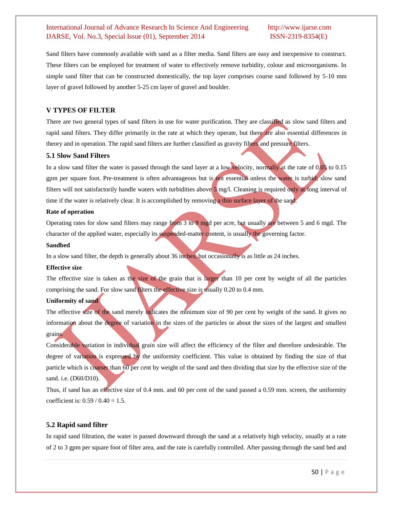Sand filters have commonly available with sand as a filter media. Sand filters are easy and inexpensive to construct. These filters can be employed for treatment of water to effectively remove turbidity, colour and microorganisms. In simple sand filter that can be constructed domestically, the top layer comprises course sand followed by 5-10 mm layer of gravel followed by another 5-25 cm layer of gravel and boulder.

#### **V TYPES OF FILTER**

There are two general types of sand filters in use for water purification. They are classified as slow sand filters and rapid sand filters. They differ primarily in the rate at which they operate, but there are also essential differences in theory and in operation. The rapid sand filters are further classified as gravity filters and pressure filters.

#### **5.1 Slow Sand Filters**

In a slow sand filter the water is passed through the sand layer at a low velocity, normally at the rate of 0.05 to 0.15 gpm per square foot. Pre-treatment is often advantageous but is not essential unless the water is turbid; slow sand filters will not satisfactorily handle waters with turbidities above 5 mg/l. Cleaning is required only at long interval of time if the water is relatively clear. It is accomplished by removing a thin surface layer of the sand.

#### **Rate of operation**

Operating rates for slow sand filters may range from 3 to 9 mgd per acre, but usually are between 5 and 6 mgd. The character of the applied water, especially its suspended-matter content, is usually the governing factor.

#### **Sandbed**

In a slow sand filter, the depth is generally about 36 inches, but occasionally is as little as 24 inches.

#### **Effective size**

The effective size is taken as the size of the grain that is larger than 10 per cent by weight of all the particles comprising the sand. For slow sand filters the effective size is usually 0.20 to 0.4 mm.

### **Uniformity of sand**

The effective size of the sand merely indicates the minimum size of 90 per cent by weight of the sand. It gives no information about the degree of variation in the sizes of the particles or about the sizes of the largest and smallest grains.

Considerable variation in individual grain size will affect the efficiency of the filter and therefore undesirable. The degree of variation is expressed by the uniformity coefficient. This value is obtained by finding the size of that particle which is coarser than 60 per cent by weight of the sand and then dividing that size by the effective size of the sand. i.e. (D60/D10).

Thus, if sand has an effective size of 0.4 mm. and 60 per cent of the sand passed a 0.59 mm. screen, the uniformity coefficient is:  $0.59 / 0.40 = 1.5$ .

### **5.2 Rapid sand filter**

In rapid sand filtration, the water is passed downward through the sand at a relatively high velocity, usually at a rate of 2 to 3 gpm per square foot of filter area, and the rate is carefully controlled. After passing through the sand bed and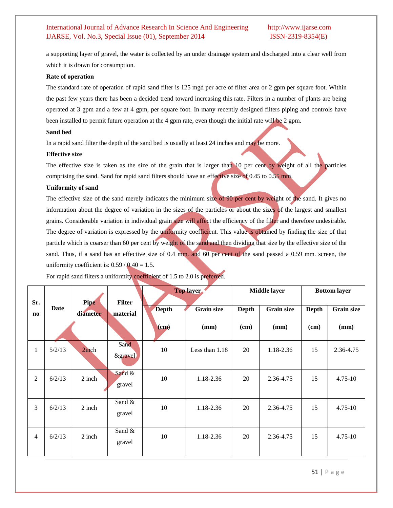a supporting layer of gravel, the water is collected by an under drainage system and discharged into a clear well from which it is drawn for consumption.

#### **Rate of operation**

The standard rate of operation of rapid sand filter is 125 mgd per acre of filter area or 2 gpm per square foot. Within the past few years there has been a decided trend toward increasing this rate. Filters in a number of plants are being operated at 3 gpm and a few at 4 gpm, per square foot. In many recently designed filters piping and controls have been installed to permit future operation at the 4 gpm rate, even though the initial rate will be 2 gpm.

#### **Sand bed**

In a rapid sand filter the depth of the sand bed is usually at least 24 inches and may be more.

#### **Effective size**

The effective size is taken as the size of the grain that is larger than 10 per cent by weight of all the particles comprising the sand. Sand for rapid sand filters should have an effective size of 0.45 to 0.55 mm.

#### **Uniformity of sand**

The effective size of the sand merely indicates the minimum size of 90 per cent by weight of the sand. It gives no information about the degree of variation in the sizes of the particles or about the sizes of the largest and smallest grains. Considerable variation in individual grain size will affect the efficiency of the filter and therefore undesirable. The degree of variation is expressed by the uniformity coefficient. This value is obtained by finding the size of that particle which is coarser than 60 per cent by weight of the sand and then dividing that size by the effective size of the sand. Thus, if a sand has an effective size of 0.4 mm. and 60 per cent of the sand passed a 0.59 mm. screen, the uniformity coefficient is:  $0.59 / 0.40 = 1.5$ .

| Sr.            |             | Pipe     | <b>Filter</b>              | <b>Top layer</b> |                   | <b>Middle layer</b> |                   | <b>Bottom layer</b> |                   |
|----------------|-------------|----------|----------------------------|------------------|-------------------|---------------------|-------------------|---------------------|-------------------|
| no             | <b>Date</b> | diameter | material                   | <b>Depth</b>     | <b>Grain size</b> | <b>Depth</b>        | <b>Grain size</b> | Depth               | <b>Grain size</b> |
|                |             |          |                            | $\mathbf{(cm)}$  | (mm)              | (cm)                | (mm)              | (cm)                | (mm)              |
| $\mathbf{1}$   | 5/2/13      | 2inch    | Sand<br><i>&amp;gravel</i> | 10               | Less than $1.18$  | 20                  | 1.18-2.36         | 15                  | 2.36-4.75         |
| $\overline{2}$ | 6/2/13      | 2 inch   | Sand &<br>gravel           | 10               | 1.18-2.36         | 20                  | 2.36-4.75         | 15                  | $4.75 - 10$       |
| 3              | 6/2/13      | 2 inch   | Sand $&$<br>gravel         | 10               | 1.18-2.36         | 20                  | 2.36-4.75         | 15                  | $4.75 - 10$       |
| 4              | 6/2/13      | 2 inch   | Sand &<br>gravel           | 10               | 1.18-2.36         | 20                  | 2.36-4.75         | 15                  | $4.75 - 10$       |

For rapid sand filters a uniformity coefficient of 1.5 to 2.0 is preferred.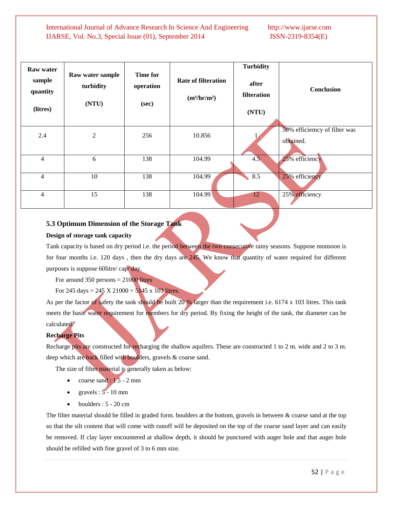| <b>Raw water</b><br>sample<br>quantity<br>(litres) | Raw water sample<br>turbidity<br>(NTU) | <b>Time for</b><br>operation<br>(sec) | <b>Rate of filteration</b><br>(m <sup>3</sup> /hr/m <sup>2</sup> ) | <b>Turbidity</b><br>after<br>filteration<br>(NTU) | <b>Conclusion</b>                         |
|----------------------------------------------------|----------------------------------------|---------------------------------------|--------------------------------------------------------------------|---------------------------------------------------|-------------------------------------------|
| 2.4                                                | $\overline{2}$                         | 256                                   | 10.856                                                             |                                                   | 50% efficiemcy of filter was<br>obtained. |
| $\overline{4}$                                     | 6                                      | 138                                   | 104.99                                                             | 4.5                                               | 25% efficiency                            |
| $\overline{4}$                                     | 10                                     | 138                                   | 104.99                                                             | 8.5                                               | 25% efficiency                            |
| $\overline{4}$                                     | 15                                     | 138                                   | 104.99                                                             | 12                                                | 25% efficiency                            |

### **5.3 Optimum Dimension of the Storage Tank**

#### **Design of storage tank capacity**

Tank capacity is based on dry period i.e. the period between the two consecutive rainy seasons. Suppose monsoon is for four months i.e. 120 days , then the dry days are 245. We know that quantity of water required for different purposes is suppose 60litre/ cap/ day.

For around 350 persons  $= 21000$  litres

For 245 days = 245 X 21000 =  $5145 \times 103$  litres.

As per the factor of safety the tank should be built 20 % larger than the requirement i.e. 6174 x 103 litres. This tank meets the basic water requirement for members for dry period. By fixing the height of the tank, the diameter can be calculated.

### **Recharge Pits**

Recharge pits are constructed for recharging the shallow aquifers. These are constructed 1 to 2 m. wide and 2 to 3 m. deep which are back filled with boulders, gravels & coarse sand.

The size of filter material is generally taken as below:

- coarse sand :  $1.5 2$  mm
- gravels :  $5 10$  mm
- $\bullet$  boulders : 5 20 cm

The filter material should be filled in graded form. boulders at the bottom, gravels in between & coarse sand at the top so that the silt content that will come with runoff will be deposited on the top of the coarse sand layer and can easily be removed. If clay layer encountered at shallow depth, it should be punctured with auger hole and that auger hole should be refilled with fine gravel of 3 to 6 mm size.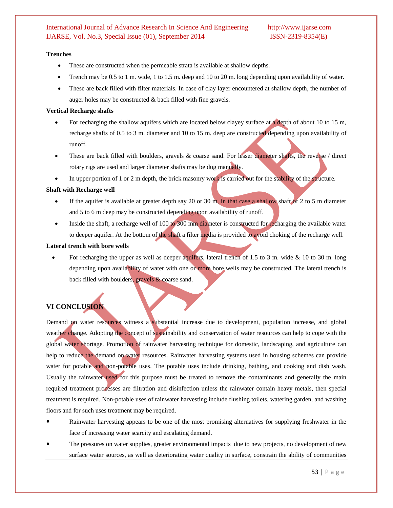#### **Trenches**

- These are constructed when the permeable strata is available at shallow depths.
- Trench may be 0.5 to 1 m. wide, 1 to 1.5 m. deep and 10 to 20 m. long depending upon availability of water.
- These are back filled with filter materials. In case of clay layer encountered at shallow depth, the number of auger holes may be constructed & back filled with fine gravels.

#### **Vertical Recharge shafts**

- For recharging the shallow aquifers which are located below clayey surface at a depth of about 10 to 15 m, recharge shafts of 0.5 to 3 m. diameter and 10 to 15 m. deep are constructed depending upon availability of runoff.
- These are back filled with boulders, gravels & coarse sand. For lesser diameter shafts, the reverse / direct rotary rigs are used and larger diameter shafts may be dug manually.
- In upper portion of 1 or 2 m depth, the brick masonry work is carried out for the stability of the structure.

#### **Shaft with Recharge well**

- If the aquifer is available at greater depth say 20 or 30 m, in that case a shallow shaft of 2 to 5 m diameter and 5 to 6 m deep may be constructed depending upon availability of runoff.
- Inside the shaft, a recharge well of 100 to 300 mm diameter is constructed for recharging the available water to deeper aquifer. At the bottom of the shaft a filter media is provided to avoid choking of the recharge well.

#### **Lateral trench with bore wells**

For recharging the upper as well as deeper aquifers, lateral trench of 1.5 to 3 m. wide & 10 to 30 m. long depending upon availability of water with one or more bore wells may be constructed. The lateral trench is back filled with boulders, gravels & coarse sand.

# **VI CONCLUSION**

Demand on water resources witness a substantial increase due to development, population increase, and global weather change. Adopting the concept of sustainability and conservation of water resources can help to cope with the global water shortage. Promotion of rainwater harvesting technique for domestic, landscaping, and agriculture can help to reduce the demand on water resources. Rainwater harvesting systems used in housing schemes can provide water for potable and non-potable uses. The potable uses include drinking, bathing, and cooking and dish wash. Usually the rainwater used for this purpose must be treated to remove the contaminants and generally the main required treatment processes are filtration and disinfection unless the rainwater contain heavy metals, then special treatment is required. Non-potable uses of rainwater harvesting include flushing toilets, watering garden, and washing floors and for such uses treatment may be required.

- Rainwater harvesting appears to be one of the most promising alternatives for supplying freshwater in the face of increasing water scarcity and escalating demand.
- The pressures on water supplies, greater environmental impacts due to new projects, no development of new surface water sources, as well as deteriorating water quality in surface, constrain the ability of communities